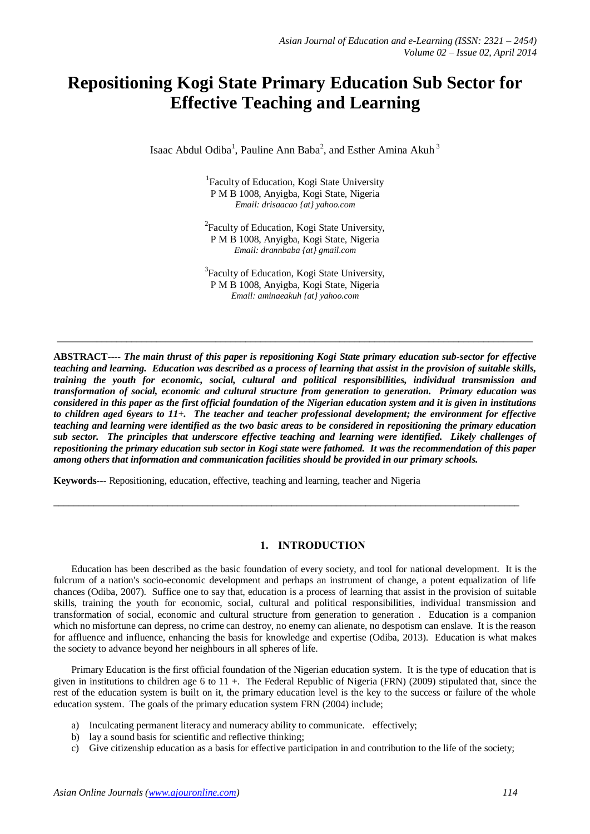# **Repositioning Kogi State Primary Education Sub Sector for Effective Teaching and Learning**

Isaac Abdul Odiba<sup>1</sup>, Pauline Ann Baba<sup>2</sup>, and Esther Amina Akuh<sup>3</sup>

<sup>1</sup> Faculty of Education, Kogi State University P M B 1008, Anyigba, Kogi State, Nigeria *Email: drisaacao {at} yahoo.com*

<sup>2</sup> Faculty of Education, Kogi State University, P M B 1008, Anyigba, Kogi State, Nigeria *Email: drannbaba {at} gmail.com*

<sup>3</sup> Faculty of Education, Kogi State University, P M B 1008, Anyigba, Kogi State, Nigeria *Email: aminaeakuh {at} yahoo.com*

 $\_$  ,  $\_$  ,  $\_$  ,  $\_$  ,  $\_$  ,  $\_$  ,  $\_$  ,  $\_$  ,  $\_$  ,  $\_$  ,  $\_$  ,  $\_$  ,  $\_$  ,  $\_$  ,  $\_$  ,  $\_$  ,  $\_$  ,  $\_$  ,  $\_$  ,  $\_$  ,  $\_$  ,  $\_$  ,  $\_$  ,  $\_$  ,  $\_$  ,  $\_$  ,  $\_$  ,  $\_$  ,  $\_$  ,  $\_$  ,  $\_$  ,  $\_$  ,  $\_$  ,  $\_$  ,  $\_$  ,  $\_$  ,  $\_$  ,

**ABSTRACT***---- The main thrust of this paper is repositioning Kogi State primary education sub-sector for effective teaching and learning. Education was described as a process of learning that assist in the provision of suitable skills, training the youth for economic, social, cultural and political responsibilities, individual transmission and transformation of social, economic and cultural structure from generation to generation. Primary education was considered in this paper as the first official foundation of the Nigerian education system and it is given in institutions to children aged 6years to 11+. The teacher and teacher professional development; the environment for effective teaching and learning were identified as the two basic areas to be considered in repositioning the primary education sub sector. The principles that underscore effective teaching and learning were identified. Likely challenges of repositioning the primary education sub sector in Kogi state were fathomed. It was the recommendation of this paper among others that information and communication facilities should be provided in our primary schools.*

 $\_$  ,  $\_$  ,  $\_$  ,  $\_$  ,  $\_$  ,  $\_$  ,  $\_$  ,  $\_$  ,  $\_$  ,  $\_$  ,  $\_$  ,  $\_$  ,  $\_$  ,  $\_$  ,  $\_$  ,  $\_$  ,  $\_$  ,  $\_$  ,  $\_$  ,  $\_$  ,  $\_$  ,  $\_$  ,  $\_$  ,  $\_$  ,  $\_$  ,  $\_$  ,  $\_$  ,  $\_$  ,  $\_$  ,  $\_$  ,  $\_$  ,  $\_$  ,  $\_$  ,  $\_$  ,  $\_$  ,  $\_$  ,  $\_$  ,

**Keywords---** Repositioning, education, effective, teaching and learning, teacher and Nigeria

## **1. INTRODUCTION**

Education has been described as the basic foundation of every society, and tool for national development. It is the fulcrum of a nation's socio-economic development and perhaps an instrument of change, a potent equalization of life chances (Odiba, 2007). Suffice one to say that, education is a process of learning that assist in the provision of suitable skills, training the youth for economic, social, cultural and political responsibilities, individual transmission and transformation of social, economic and cultural structure from generation to generation . Education is a companion which no misfortune can depress, no crime can destroy, no enemy can alienate, no despotism can enslave. It is the reason for affluence and influence, enhancing the basis for knowledge and expertise (Odiba, 2013). Education is what makes the society to advance beyond her neighbours in all spheres of life.

Primary Education is the first official foundation of the Nigerian education system. It is the type of education that is given in institutions to children age 6 to  $11 +$ . The Federal Republic of Nigeria (FRN) (2009) stipulated that, since the rest of the education system is built on it, the primary education level is the key to the success or failure of the whole education system. The goals of the primary education system FRN (2004) include;

- a) Inculcating permanent literacy and numeracy ability to communicate. effectively;
- b) lay a sound basis for scientific and reflective thinking;
- c) Give citizenship education as a basis for effective participation in and contribution to the life of the society;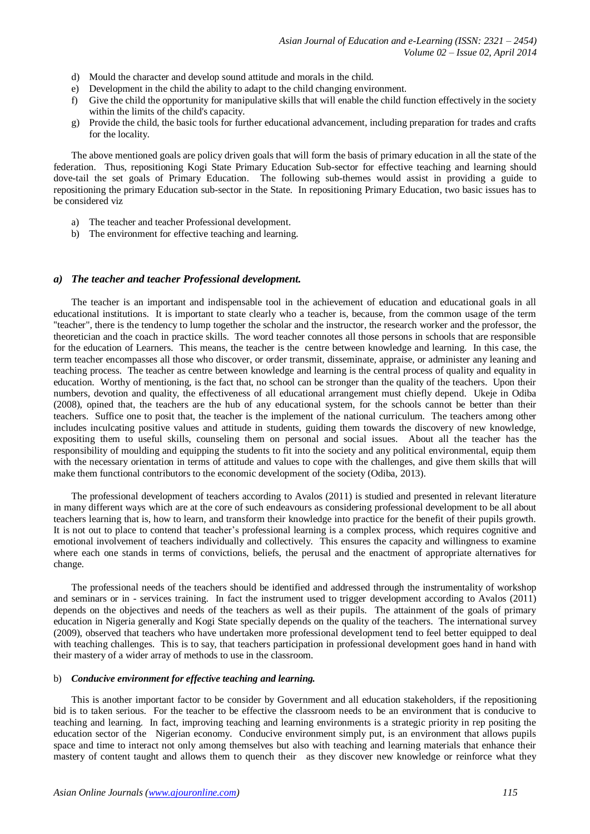- d) Mould the character and develop sound attitude and morals in the child.
- e) Development in the child the ability to adapt to the child changing environment.
- f) Give the child the opportunity for manipulative skills that will enable the child function effectively in the society within the limits of the child's capacity.
- g) Provide the child, the basic tools for further educational advancement, including preparation for trades and crafts for the locality.

The above mentioned goals are policy driven goals that will form the basis of primary education in all the state of the federation. Thus, repositioning Kogi State Primary Education Sub-sector for effective teaching and learning should dove-tail the set goals of Primary Education. The following sub-themes would assist in providing a guide to repositioning the primary Education sub-sector in the State. In repositioning Primary Education, two basic issues has to be considered viz

- a) The teacher and teacher Professional development.
- b) The environment for effective teaching and learning.

#### *a) The teacher and teacher Professional development.*

The teacher is an important and indispensable tool in the achievement of education and educational goals in all educational institutions. It is important to state clearly who a teacher is, because, from the common usage of the term ''teacher", there is the tendency to lump together the scholar and the instructor, the research worker and the professor, the theoretician and the coach in practice skills. The word teacher connotes all those persons in schools that are responsible for the education of Learners. This means, the teacher is the centre between knowledge and learning. In this case, the term teacher encompasses all those who discover, or order transmit, disseminate, appraise, or administer any leaning and teaching process. The teacher as centre between knowledge and learning is the central process of quality and equality in education. Worthy of mentioning, is the fact that, no school can be stronger than the quality of the teachers. Upon their numbers, devotion and quality, the effectiveness of all educational arrangement must chiefly depend. Ukeje in Odiba (2008), opined that, the teachers are the hub of any educational system, for the schools cannot be better than their teachers. Suffice one to posit that, the teacher is the implement of the national curriculum. The teachers among other includes inculcating positive values and attitude in students, guiding them towards the discovery of new knowledge, expositing them to useful skills, counseling them on personal and social issues. About all the teacher has the responsibility of moulding and equipping the students to fit into the society and any political environmental, equip them with the necessary orientation in terms of attitude and values to cope with the challenges, and give them skills that will make them functional contributors to the economic development of the society (Odiba, 2013).

The professional development of teachers according to Avalos (2011) is studied and presented in relevant literature in many different ways which are at the core of such endeavours as considering professional development to be all about teachers learning that is, how to learn, and transform their knowledge into practice for the benefit of their pupils growth. It is not out to place to contend that teacher's professional learning is a complex process, which requires cognitive and emotional involvement of teachers individually and collectively. This ensures the capacity and willingness to examine where each one stands in terms of convictions, beliefs, the perusal and the enactment of appropriate alternatives for change.

The professional needs of the teachers should be identified and addressed through the instrumentality of workshop and seminars or in - services training. In fact the instrument used to trigger development according to Avalos (2011) depends on the objectives and needs of the teachers as well as their pupils. The attainment of the goals of primary education in Nigeria generally and Kogi State specially depends on the quality of the teachers. The international survey (2009), observed that teachers who have undertaken more professional development tend to feel better equipped to deal with teaching challenges. This is to say, that teachers participation in professional development goes hand in hand with their mastery of a wider array of methods to use in the classroom.

#### b) *Conducive environment for effective teaching and learning.*

This is another important factor to be consider by Government and all education stakeholders, if the repositioning bid is to taken serious. For the teacher to be effective the classroom needs to be an environment that is conducive to teaching and learning. In fact, improving teaching and learning environments is a strategic priority in rep positing the education sector of the Nigerian economy. Conducive environment simply put, is an environment that allows pupils space and time to interact not only among themselves but also with teaching and learning materials that enhance their mastery of content taught and allows them to quench their as they discover new knowledge or reinforce what they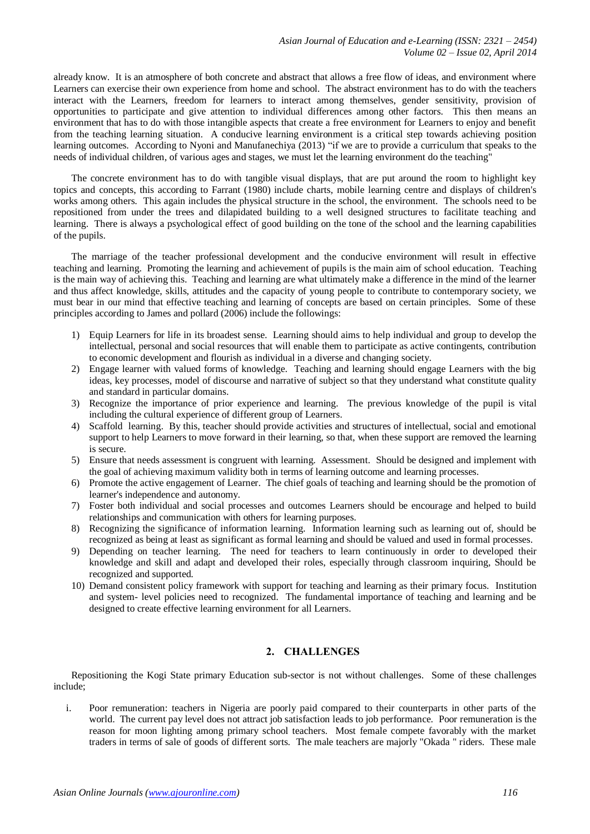already know. It is an atmosphere of both concrete and abstract that allows a free flow of ideas, and environment where Learners can exercise their own experience from home and school. The abstract environment has to do with the teachers interact with the Learners, freedom for learners to interact among themselves, gender sensitivity, provision of opportunities to participate and give attention to individual differences among other factors. This then means an environment that has to do with those intangible aspects that create a free environment for Learners to enjoy and benefit from the teaching learning situation. A conducive learning environment is a critical step towards achieving position learning outcomes. According to Nyoni and Manufanechiya (2013) "if we are to provide a curriculum that speaks to the needs of individual children, of various ages and stages, we must let the learning environment do the teaching"

The concrete environment has to do with tangible visual displays, that are put around the room to highlight key topics and concepts, this according to Farrant (1980) include charts, mobile learning centre and displays of children's works among others. This again includes the physical structure in the school, the environment. The schools need to be repositioned from under the trees and dilapidated building to a well designed structures to facilitate teaching and learning. There is always a psychological effect of good building on the tone of the school and the learning capabilities of the pupils.

The marriage of the teacher professional development and the conducive environment will result in effective teaching and learning. Promoting the learning and achievement of pupils is the main aim of school education. Teaching is the main way of achieving this. Teaching and learning are what ultimately make a difference in the mind of the learner and thus affect knowledge, skills, attitudes and the capacity of young people to contribute to contemporary society, we must bear in our mind that effective teaching and learning of concepts are based on certain principles. Some of these principles according to James and pollard (2006) include the followings:

- 1) Equip Learners for life in its broadest sense. Learning should aims to help individual and group to develop the intellectual, personal and social resources that will enable them to participate as active contingents, contribution to economic development and flourish as individual in a diverse and changing society.
- 2) Engage learner with valued forms of knowledge. Teaching and learning should engage Learners with the big ideas, key processes, model of discourse and narrative of subject so that they understand what constitute quality and standard in particular domains.
- 3) Recognize the importance of prior experience and learning. The previous knowledge of the pupil is vital including the cultural experience of different group of Learners.
- 4) Scaffold learning. By this, teacher should provide activities and structures of intellectual, social and emotional support to help Learners to move forward in their learning, so that, when these support are removed the learning is secure.
- 5) Ensure that needs assessment is congruent with learning. Assessment. Should be designed and implement with the goal of achieving maximum validity both in terms of learning outcome and learning processes.
- 6) Promote the active engagement of Learner. The chief goals of teaching and learning should be the promotion of learner's independence and autonomy.
- 7) Foster both individual and social processes and outcomes Learners should be encourage and helped to build relationships and communication with others for learning purposes.
- 8) Recognizing the significance of information learning. Information learning such as learning out of, should be recognized as being at least as significant as formal learning and should be valued and used in formal processes.
- 9) Depending on teacher learning. The need for teachers to learn continuously in order to developed their knowledge and skill and adapt and developed their roles, especially through classroom inquiring, Should be recognized and supported.
- 10) Demand consistent policy framework with support for teaching and learning as their primary focus. Institution and system- level policies need to recognized. The fundamental importance of teaching and learning and be designed to create effective learning environment for all Learners.

## **2. CHALLENGES**

Repositioning the Kogi State primary Education sub-sector is not without challenges. Some of these challenges include;

i. Poor remuneration: teachers in Nigeria are poorly paid compared to their counterparts in other parts of the world. The current pay level does not attract job satisfaction leads to job performance. Poor remuneration is the reason for moon lighting among primary school teachers. Most female compete favorably with the market traders in terms of sale of goods of different sorts. The male teachers are majorly "Okada " riders. These male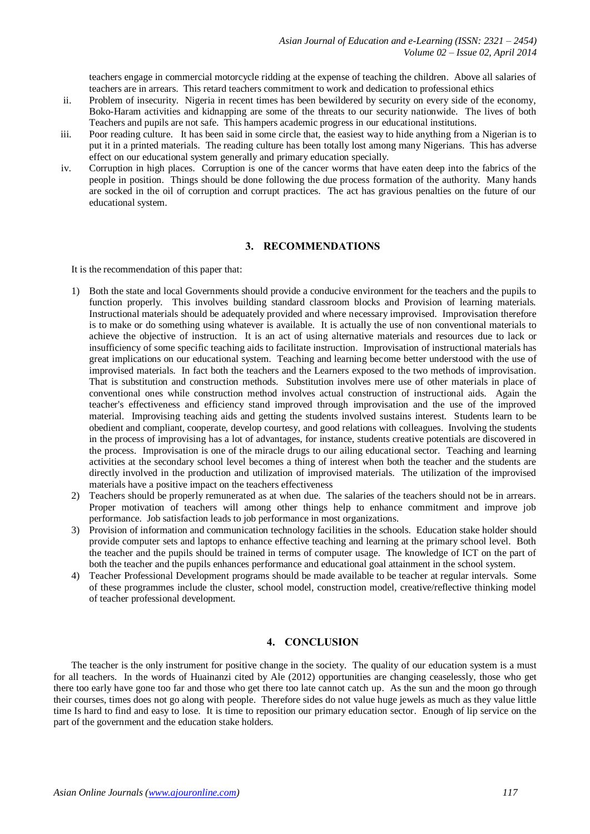teachers engage in commercial motorcycle ridding at the expense of teaching the children. Above all salaries of teachers are in arrears. This retard teachers commitment to work and dedication to professional ethics

- ii. Problem of insecurity. Nigeria in recent times has been bewildered by security on every side of the economy, Boko-Haram activities and kidnapping are some of the threats to our security nationwide. The lives of both Teachers and pupils are not safe. This hampers academic progress in our educational institutions.
- iii. Poor reading culture. It has been said in some circle that, the easiest way to hide anything from a Nigerian is to put it in a printed materials. The reading culture has been totally lost among many Nigerians. This has adverse effect on our educational system generally and primary education specially.
- iv. Corruption in high places. Corruption is one of the cancer worms that have eaten deep into the fabrics of the people in position. Things should be done following the due process formation of the authority. Many hands are socked in the oil of corruption and corrupt practices. The act has gravious penalties on the future of our educational system.

### **3. RECOMMENDATIONS**

It is the recommendation of this paper that:

- 1) Both the state and local Governments should provide a conducive environment for the teachers and the pupils to function properly. This involves building standard classroom blocks and Provision of learning materials. Instructional materials should be adequately provided and where necessary improvised. Improvisation therefore is to make or do something using whatever is available. It is actually the use of non conventional materials to achieve the objective of instruction. It is an act of using alternative materials and resources due to lack or insufficiency of some specific teaching aids to facilitate instruction. Improvisation of instructional materials has great implications on our educational system. Teaching and learning become better understood with the use of improvised materials. In fact both the teachers and the Learners exposed to the two methods of improvisation. That is substitution and construction methods. Substitution involves mere use of other materials in place of conventional ones while construction method involves actual construction of instructional aids. Again the teacher's effectiveness and efficiency stand improved through improvisation and the use of the improved material. Improvising teaching aids and getting the students involved sustains interest. Students learn to be obedient and compliant, cooperate, develop courtesy, and good relations with colleagues. Involving the students in the process of improvising has a lot of advantages, for instance, students creative potentials are discovered in the process. Improvisation is one of the miracle drugs to our ailing educational sector. Teaching and learning activities at the secondary school level becomes a thing of interest when both the teacher and the students are directly involved in the production and utilization of improvised materials. The utilization of the improvised materials have a positive impact on the teachers effectiveness
- 2) Teachers should be properly remunerated as at when due. The salaries of the teachers should not be in arrears. Proper motivation of teachers will among other things help to enhance commitment and improve job performance. Job satisfaction leads to job performance in most organizations.
- 3) Provision of information and communication technology facilities in the schools. Education stake holder should provide computer sets and laptops to enhance effective teaching and learning at the primary school level. Both the teacher and the pupils should be trained in terms of computer usage. The knowledge of ICT on the part of both the teacher and the pupils enhances performance and educational goal attainment in the school system.
- 4) Teacher Professional Development programs should be made available to be teacher at regular intervals. Some of these programmes include the cluster, school model, construction model, creative/reflective thinking model of teacher professional development.

#### **4. CONCLUSION**

The teacher is the only instrument for positive change in the society. The quality of our education system is a must for all teachers. In the words of Huainanzi cited by Ale (2012) opportunities are changing ceaselessly, those who get there too early have gone too far and those who get there too late cannot catch up. As the sun and the moon go through their courses, times does not go along with people. Therefore sides do not value huge jewels as much as they value little time Is hard to find and easy to lose. It is time to reposition our primary education sector. Enough of lip service on the part of the government and the education stake holders.